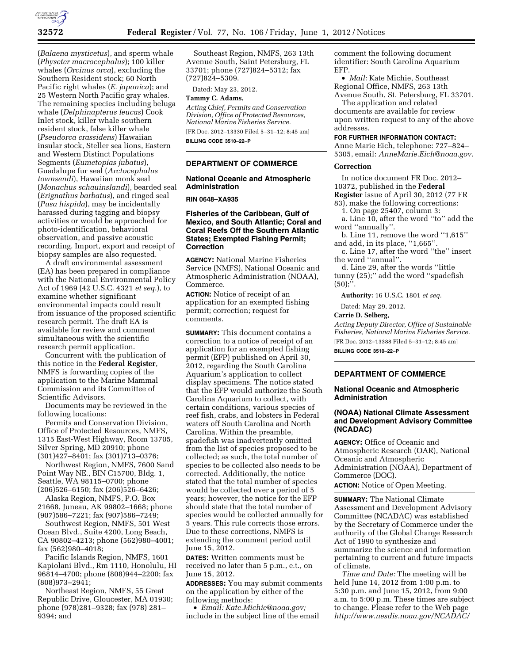

(*Balaena mysticetus*), and sperm whale (*Physeter macrocephalus*); 100 killer whales (*Orcinus orca*), excluding the Southern Resident stock; 60 North Pacific right whales (*E. japonica*); and 25 Western North Pacific gray whales. The remaining species including beluga whale (*Delphinapterus leucas*) Cook Inlet stock, killer whale southern resident stock, false killer whale (*Pseudorca crassidens*) Hawaiian insular stock, Steller sea lions, Eastern and Western Distinct Populations Segments (*Eumetopias jubatus*), Guadalupe fur seal (*Arctocephalus townsendi*), Hawaiian monk seal (*Monachus schauinslandi*), bearded seal (*Erignathus barbatus*), and ringed seal (*Pusa hispida*), may be incidentally harassed during tagging and biopsy activities or would be approached for photo-identification, behavioral observation, and passive acoustic recording. Import, export and receipt of biopsy samples are also requested.

A draft environmental assessment (EA) has been prepared in compliance with the National Environmental Policy Act of 1969 (42 U.S.C. 4321 *et seq.*), to examine whether significant environmental impacts could result from issuance of the proposed scientific research permit. The draft EA is available for review and comment simultaneous with the scientific research permit application.

Concurrent with the publication of this notice in the **Federal Register**, NMFS is forwarding copies of the application to the Marine Mammal Commission and its Committee of Scientific Advisors.

Documents may be reviewed in the following locations:

Permits and Conservation Division, Office of Protected Resources, NMFS, 1315 East-West Highway, Room 13705, Silver Spring, MD 20910; phone (301)427–8401; fax (301)713–0376;

Northwest Region, NMFS, 7600 Sand Point Way NE., BIN C15700, Bldg. 1, Seattle, WA 98115–0700; phone (206)526–6150; fax (206)526–6426;

Alaska Region, NMFS, P.O. Box 21668, Juneau, AK 99802–1668; phone (907)586–7221; fax (907)586–7249;

Southwest Region, NMFS, 501 West Ocean Blvd., Suite 4200, Long Beach, CA 90802–4213; phone (562)980–4001; fax (562)980–4018;

Pacific Islands Region, NMFS, 1601 Kapiolani Blvd., Rm 1110, Honolulu, HI 96814–4700; phone (808)944–2200; fax (808)973–2941;

Northeast Region, NMFS, 55 Great Republic Drive, Gloucester, MA 01930; phone (978)281–9328; fax (978) 281– 9394; and

Southeast Region, NMFS, 263 13th Avenue South, Saint Petersburg, FL 33701; phone (727)824–5312; fax (727)824–5309.

Dated: May 23, 2012.

# **Tammy C. Adams,**

*Acting Chief, Permits and Conservation Division, Office of Protected Resources, National Marine Fisheries Service.*  [FR Doc. 2012–13330 Filed 5–31–12; 8:45 am] **BILLING CODE 3510–22–P** 

**DEPARTMENT OF COMMERCE** 

# **National Oceanic and Atmospheric Administration**

**RIN 0648–XA935** 

## **Fisheries of the Caribbean, Gulf of Mexico, and South Atlantic; Coral and Coral Reefs Off the Southern Atlantic States; Exempted Fishing Permit; Correction**

**AGENCY:** National Marine Fisheries Service (NMFS), National Oceanic and Atmospheric Administration (NOAA), Commerce.

**ACTION:** Notice of receipt of an application for an exempted fishing permit; correction; request for comments.

**SUMMARY:** This document contains a correction to a notice of receipt of an application for an exempted fishing permit (EFP) published on April 30, 2012, regarding the South Carolina Aquarium's application to collect display specimens. The notice stated that the EFP would authorize the South Carolina Aquarium to collect, with certain conditions, various species of reef fish, crabs, and lobsters in Federal waters off South Carolina and North Carolina. Within the preamble, spadefish was inadvertently omitted from the list of species proposed to be collected; as such, the total number of species to be collected also needs to be corrected. Additionally, the notice stated that the total number of species would be collected over a period of 5 years; however, the notice for the EFP should state that the total number of species would be collected annually for 5 years. This rule corrects those errors. Due to these corrections, NMFS is extending the comment period until June 15, 2012.

**DATES:** Written comments must be received no later than 5 p.m., e.t., on June 15, 2012.

**ADDRESSES:** You may submit comments on the application by either of the following methods:

• *Email: [Kate.Michie@noaa.gov;](mailto:Kate.Michie@noaa.gov)*  include in the subject line of the email comment the following document identifier: South Carolina Aquarium EFP.

• *Mail:* Kate Michie, Southeast Regional Office, NMFS, 263 13th Avenue South, St. Petersburg, FL 33701.

The application and related documents are available for review upon written request to any of the above addresses.

## **FOR FURTHER INFORMATION CONTACT:**

Anne Marie Eich, telephone: 727–824– 5305, email: *[AnneMarie.Eich@noaa.gov.](mailto:AnneMarie.Eich@noaa.gov)* 

#### **Correction**

In notice document FR Doc. 2012– 10372, published in the **Federal Register** issue of April 30, 2012 (77 FR 83), make the following corrections:

1. On page 25407, column 3:

a. Line 10, after the word ''to'' add the word ''annually''.

b. Line 11, remove the word ''1,615'' and add, in its place, "1,665".

c. Line 17, after the word ''the'' insert the word ''annual''.

d. Line 29, after the words ''little tunny (25);'' add the word ''spadefish  $(50)$ ;".

**Authority:** 16 U.S.C. 1801 *et seq.* 

Dated: May 29, 2012.

#### **Carrie D. Selberg,**

*Acting Deputy Director, Office of Sustainable Fisheries, National Marine Fisheries Service.*  [FR Doc. 2012–13388 Filed 5–31–12; 8:45 am] **BILLING CODE 3510–22–P** 

# **DEPARTMENT OF COMMERCE**

# **National Oceanic and Atmospheric Administration**

# **(NOAA) National Climate Assessment and Development Advisory Committee (NCADAC)**

**AGENCY:** Office of Oceanic and Atmospheric Research (OAR), National Oceanic and Atmospheric Administration (NOAA), Department of Commerce (DOC).

**ACTION:** Notice of Open Meeting.

**SUMMARY:** The National Climate Assessment and Development Advisory Committee (NCADAC) was established by the Secretary of Commerce under the authority of the Global Change Research Act of 1990 to synthesize and summarize the science and information pertaining to current and future impacts of climate.

*Time and Date:* The meeting will be held June 14, 2012 from 1:00 p.m. to 5:30 p.m. and June 15, 2012, from 9:00 a.m. to 5:00 p.m. These times are subject to change. Please refer to the Web page *<http://www.nesdis.noaa.gov/NCADAC/>*